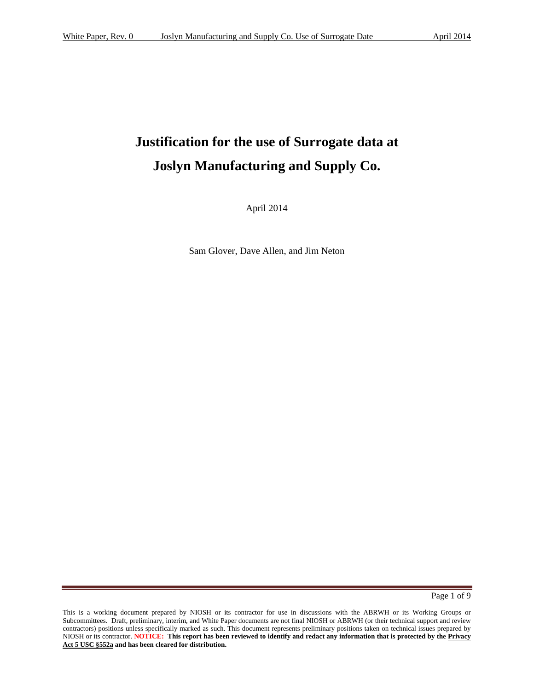# **Justification for the use of Surrogate data at Joslyn Manufacturing and Supply Co.**

April 2014

Sam Glover, Dave Allen, and Jim Neton

Page 1 of 9

 NIOSH or its contractor. **NOTICE: This report has been reviewed to identify and redact any information that is protected by the Privacy**  This is a working document prepared by NIOSH or its contractor for use in discussions with the ABRWH or its Working Groups or Subcommittees. Draft, preliminary, interim, and White Paper documents are not final NIOSH or ABRWH (or their technical support and review contractors) positions unless specifically marked as such. This document represents preliminary positions taken on technical issues prepared by **Act 5 USC §552a and has been cleared for distribution.**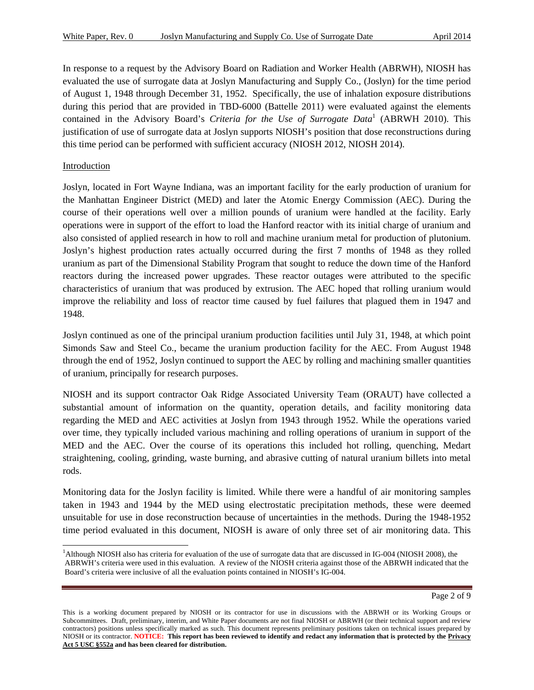In response to a request by the Advisory Board on Radiation and Worker Health (ABRWH), NIOSH has evaluated the use of surrogate data at Joslyn Manufacturing and Supply Co., (Joslyn) for the time period of August 1, 1948 through December 31, 1952. Specifically, the use of inhalation exposure distributions during this period that are provided in TBD-6000 (Battelle 2011) were evaluated against the elements contained in the Advisory Board's *Criteria for the Use of Surrogate Data*<sup>1</sup> (ABRWH 2010). This justification of use of surrogate data at Joslyn supports NIOSH's position that dose reconstructions during this time period can be performed with sufficient accuracy (NIOSH 2012, NIOSH 2014).

#### Introduction

l

 operations were in support of the effort to load the Hanford reactor with its initial charge of uranium and also consisted of applied research in how to roll and machine uranium metal for production of plutonium. Joslyn, located in Fort Wayne Indiana, was an important facility for the early production of uranium for the Manhattan Engineer District (MED) and later the Atomic Energy Commission (AEC). During the course of their operations well over a million pounds of uranium were handled at the facility. Early Joslyn's highest production rates actually occurred during the first 7 months of 1948 as they rolled uranium as part of the Dimensional Stability Program that sought to reduce the down time of the Hanford reactors during the increased power upgrades. These reactor outages were attributed to the specific characteristics of uranium that was produced by extrusion. The AEC hoped that rolling uranium would improve the reliability and loss of reactor time caused by fuel failures that plagued them in 1947 and 1948.

Joslyn continued as one of the principal uranium production facilities until July 31, 1948, at which point Simonds Saw and Steel Co., became the uranium production facility for the AEC. From August 1948 through the end of 1952, Joslyn continued to support the AEC by rolling and machining smaller quantities of uranium, principally for research purposes.

NIOSH and its support contractor Oak Ridge Associated University Team (ORAUT) have collected a substantial amount of information on the quantity, operation details, and facility monitoring data regarding the MED and AEC activities at Joslyn from 1943 through 1952. While the operations varied over time, they typically included various machining and rolling operations of uranium in support of the MED and the AEC. Over the course of its operations this included hot rolling, quenching, Medart straightening, cooling, grinding, waste burning, and abrasive cutting of natural uranium billets into metal rods.

Monitoring data for the Joslyn facility is limited. While there were a handful of air monitoring samples taken in 1943 and 1944 by the MED using electrostatic precipitation methods, these were deemed unsuitable for use in dose reconstruction because of uncertainties in the methods. During the 1948-1952 time period evaluated in this document, NIOSH is aware of only three set of air monitoring data. This

 ABRWH's criteria were used in this evaluation. A review of the NIOSH criteria against those of the ABRWH indicated that the <sup>1</sup>Although NIOSH also has criteria for evaluation of the use of surrogate data that are discussed in IG-004 (NIOSH 2008), the Board's criteria were inclusive of all the evaluation points contained in NIOSH's IG-004.

 NIOSH or its contractor. **NOTICE: This report has been reviewed to identify and redact any information that is protected by the Privacy**  This is a working document prepared by NIOSH or its contractor for use in discussions with the ABRWH or its Working Groups or Subcommittees. Draft, preliminary, interim, and White Paper documents are not final NIOSH or ABRWH (or their technical support and review contractors) positions unless specifically marked as such. This document represents preliminary positions taken on technical issues prepared by **Act 5 USC §552a and has been cleared for distribution.**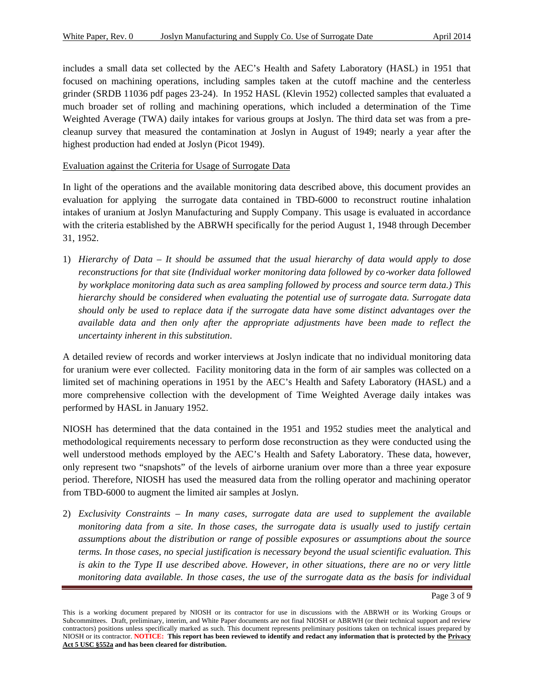includes a small data set collected by the AEC's Health and Safety Laboratory (HASL) in 1951 that focused on machining operations, including samples taken at the cutoff machine and the centerless grinder (SRDB 11036 pdf pages 23-24). In 1952 HASL (Klevin 1952) collected samples that evaluated a much broader set of rolling and machining operations, which included a determination of the Time Weighted Average (TWA) daily intakes for various groups at Joslyn. The third data set was from a precleanup survey that measured the contamination at Joslyn in August of 1949; nearly a year after the highest production had ended at Joslyn (Picot 1949).

### Evaluation against the Criteria for Usage of Surrogate Data

In light of the operations and the available monitoring data described above, this document provides an evaluation for applying the surrogate data contained in TBD-6000 to reconstruct routine inhalation intakes of uranium at Joslyn Manufacturing and Supply Company. This usage is evaluated in accordance with the criteria established by the ABRWH specifically for the period August 1, 1948 through December 31, 1952.

1) *Hierarchy of Data – It should be assumed that the usual hierarchy of data would apply to dose reconstructions for that site (Individual worker monitoring data followed by co-worker data followed by workplace monitoring data such as area sampling followed by process and source term data.) This hierarchy should be considered when evaluating the potential use of surrogate data. Surrogate data should only be used to replace data if the surrogate data have some distinct advantages over the available data and then only after the appropriate adjustments have been made to reflect the uncertainty inherent in this substitution*.

 performed by HASL in January 1952. A detailed review of records and worker interviews at Joslyn indicate that no individual monitoring data for uranium were ever collected. Facility monitoring data in the form of air samples was collected on a limited set of machining operations in 1951 by the AEC's Health and Safety Laboratory (HASL) and a more comprehensive collection with the development of Time Weighted Average daily intakes was

NIOSH has determined that the data contained in the 1951 and 1952 studies meet the analytical and methodological requirements necessary to perform dose reconstruction as they were conducted using the well understood methods employed by the AEC's Health and Safety Laboratory. These data, however, only represent two "snapshots" of the levels of airborne uranium over more than a three year exposure period. Therefore, NIOSH has used the measured data from the rolling operator and machining operator from TBD-6000 to augment the limited air samples at Joslyn.

2) *Exclusivity Constraints – In many cases, surrogate data are used to supplement the available monitoring data from a site. In those cases, the surrogate data is usually used to justify certain assumptions about the distribution or range of possible exposures or assumptions about the source terms. In those cases, no special justification is necessary beyond the usual scientific evaluation. This is akin to the Type II use described above. However, in other situations, there are no or very little monitoring data available. In those cases, the use of the surrogate data as the basis for individual* 

Page 3 of 9

 NIOSH or its contractor. **NOTICE: This report has been reviewed to identify and redact any information that is protected by the Privacy**  This is a working document prepared by NIOSH or its contractor for use in discussions with the ABRWH or its Working Groups or Subcommittees. Draft, preliminary, interim, and White Paper documents are not final NIOSH or ABRWH (or their technical support and review contractors) positions unless specifically marked as such. This document represents preliminary positions taken on technical issues prepared by **Act 5 USC §552a and has been cleared for distribution.**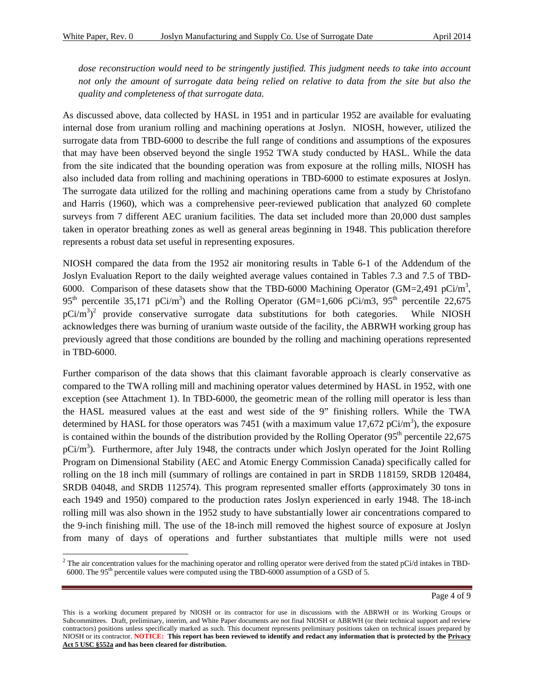-

*dose reconstruction would need to be stringently justified. This judgment needs to take into account not only the amount of surrogate data being relied on relative to data from the site but also the quality and completeness of that surrogate data.* 

As discussed above, data collected by HASL in 1951 and in particular 1952 are available for evaluating internal dose from uranium rolling and machining operations at Joslyn. NIOSH, however, utilized the surrogate data from TBD-6000 to describe the full range of conditions and assumptions of the exposures that may have been observed beyond the single 1952 TWA study conducted by HASL. While the data from the site indicated that the bounding operation was from exposure at the rolling mills, NIOSH has also included data from rolling and machining operations in TBD-6000 to estimate exposures at Joslyn. The surrogate data utilized for the rolling and machining operations came from a study by Christofano and Harris (1960), which was a comprehensive peer-reviewed publication that analyzed 60 complete surveys from 7 different AEC uranium facilities. The data set included more than 20,000 dust samples taken in operator breathing zones as well as general areas beginning in 1948. This publication therefore represents a robust data set useful in representing exposures.

NIOSH compared the data from the 1952 air monitoring results in Table 6-1 of the Addendum of the Joslyn Evaluation Report to the daily weighted average values contained in Tables 7.3 and 7.5 of TBD-6000. Comparison of these datasets show that the TBD-6000 Machining Operator (GM=2,491 pCi/m<sup>3</sup>, 95<sup>th</sup> percentile 35,171 pCi/m<sup>3</sup>) and the Rolling Operator (GM=1,606 pCi/m3, 95<sup>th</sup> percentile 22,675  $pCi/m<sup>3</sup>$ <sup>2</sup> provide conservative surrogate data substitutions for both categories. While NIOSH acknowledges there was burning of uranium waste outside of the facility, the ABRWH working group has previously agreed that those conditions are bounded by the rolling and machining operations represented in TBD-6000.

Further comparison of the data shows that this claimant favorable approach is clearly conservative as compared to the TWA rolling mill and machining operator values determined by HASL in 1952, with one exception (see Attachment 1). In TBD-6000, the geometric mean of the rolling mill operator is less than the HASL measured values at the east and west side of the 9" finishing rollers. While the TWA determined by HASL for those operators was 7451 (with a maximum value 17,672 pCi/m<sup>3</sup>), the exposure is contained within the bounds of the distribution provided by the Rolling Operator  $(95<sup>th</sup>$  percentile 22,675  $pCi/m<sup>3</sup>$ ). Furthermore, after July 1948, the contracts under which Joslyn operated for the Joint Rolling Program on Dimensional Stability (AEC and Atomic Energy Commission Canada) specifically called for rolling on the 18 inch mill (summary of rollings are contained in part in SRDB 118159, SRDB 120484, SRDB 04048, and SRDB 112574). This program represented smaller efforts (approximately 30 tons in each 1949 and 1950) compared to the production rates Joslyn experienced in early 1948. The 18-inch rolling mill was also shown in the 1952 study to have substantially lower air concentrations compared to the 9-inch finishing mill. The use of the 18-inch mill removed the highest source of exposure at Joslyn from many of days of operations and further substantiates that multiple mills were not used

<sup>&</sup>lt;sup>2</sup> The air concentration values for the machining operator and rolling operator were derived from the stated pCi/d intakes in TBD-6000. The 95th percentile values were computed using the TBD-6000 assumption of a GSD of 5.

 NIOSH or its contractor. **NOTICE: This report has been reviewed to identify and redact any information that is protected by the Privacy**  This is a working document prepared by NIOSH or its contractor for use in discussions with the ABRWH or its Working Groups or Subcommittees. Draft, preliminary, interim, and White Paper documents are not final NIOSH or ABRWH (or their technical support and review contractors) positions unless specifically marked as such. This document represents preliminary positions taken on technical issues prepared by **Act 5 USC §552a and has been cleared for distribution.**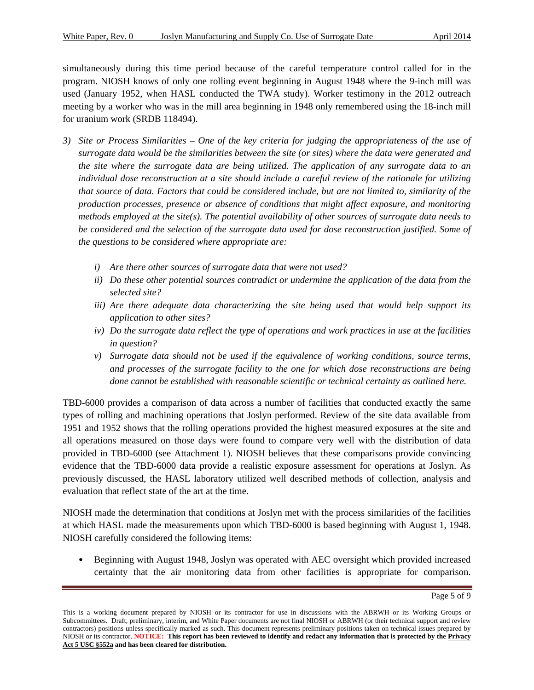simultaneously during this time period because of the careful temperature control called for in the program. NIOSH knows of only one rolling event beginning in August 1948 where the 9-inch mill was used (January 1952, when HASL conducted the TWA study). Worker testimony in the 2012 outreach meeting by a worker who was in the mill area beginning in 1948 only remembered using the 18-inch mill for uranium work (SRDB 118494).

- *3) Site or Process Similarities One of the key criteria for judging the appropriateness of the use of surrogate data would be the similarities between the site (or sites) where the data were generated and the site where the surrogate data are being utilized. The application of any surrogate data to an individual dose reconstruction at a site should include a careful review of the rationale for utilizing that source of data. Factors that could be considered include, but are not limited to, similarity of the production processes, presence or absence of conditions that might affect exposure, and monitoring methods employed at the site(s). The potential availability of other sources of surrogate data needs to be considered and the selection of the surrogate data used for dose reconstruction justified. Some of the questions to be considered where appropriate are:* 
	- *i) Are there other sources of surrogate data that were not used?*
	- *ii) Do these other potential sources contradict or undermine the application of the data from the selected site?*
	- *iii) Are there adequate data characterizing the site being used that would help support its application to other sites?*
	- *iv) Do the surrogate data reflect the type of operations and work practices in use at the facilities in question?*
	- *v*) Surrogate data should not be used if the equivalence of working conditions, source terms, *and processes of the surrogate facility to the one for which dose reconstructions are being done cannot be established with reasonable scientific or technical certainty as outlined here.*

TBD-6000 provides a comparison of data across a number of facilities that conducted exactly the same types of rolling and machining operations that Joslyn performed. Review of the site data available from 1951 and 1952 shows that the rolling operations provided the highest measured exposures at the site and all operations measured on those days were found to compare very well with the distribution of data provided in TBD-6000 (see Attachment 1). NIOSH believes that these comparisons provide convincing evidence that the TBD-6000 data provide a realistic exposure assessment for operations at Joslyn. As previously discussed, the HASL laboratory utilized well described methods of collection, analysis and evaluation that reflect state of the art at the time.

NIOSH made the determination that conditions at Joslyn met with the process similarities of the facilities at which HASL made the measurements upon which TBD-6000 is based beginning with August 1, 1948. NIOSH carefully considered the following items:

 certainty that the air monitoring data from other facilities is appropriate for comparison. Beginning with August 1948, Joslyn was operated with AEC oversight which provided increased

Page 5 of 9

 NIOSH or its contractor. **NOTICE: This report has been reviewed to identify and redact any information that is protected by the Privacy**  This is a working document prepared by NIOSH or its contractor for use in discussions with the ABRWH or its Working Groups or Subcommittees. Draft, preliminary, interim, and White Paper documents are not final NIOSH or ABRWH (or their technical support and review contractors) positions unless specifically marked as such. This document represents preliminary positions taken on technical issues prepared by **Act 5 USC §552a and has been cleared for distribution.**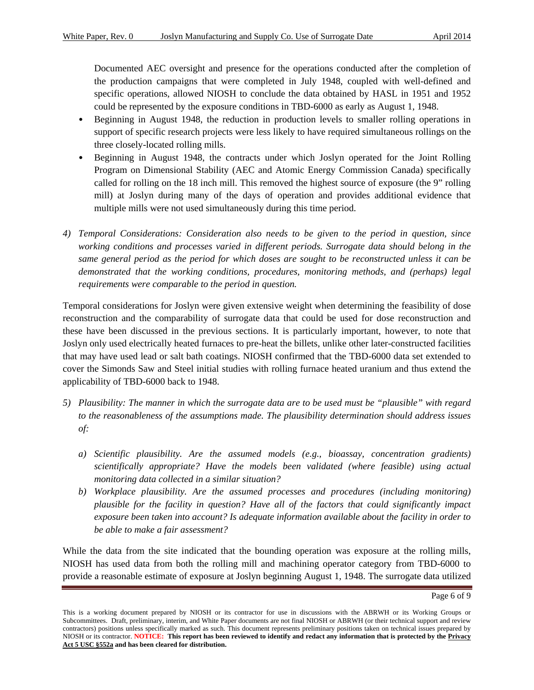Documented AEC oversight and presence for the operations conducted after the completion of the production campaigns that were completed in July 1948, coupled with well-defined and specific operations, allowed NIOSH to conclude the data obtained by HASL in 1951 and 1952 could be represented by the exposure conditions in TBD-6000 as early as August 1, 1948.

- Beginning in August 1948, the reduction in production levels to smaller rolling operations in support of specific research projects were less likely to have required simultaneous rollings on the three closely-located rolling mills.
- Beginning in August 1948, the contracts under which Joslyn operated for the Joint Rolling Program on Dimensional Stability (AEC and Atomic Energy Commission Canada) specifically called for rolling on the 18 inch mill. This removed the highest source of exposure (the 9" rolling mill) at Joslyn during many of the days of operation and provides additional evidence that multiple mills were not used simultaneously during this time period.
- *4) Temporal Considerations: Consideration also needs to be given to the period in question, since working conditions and processes varied in different periods. Surrogate data should belong in the same general period as the period for which doses are sought to be reconstructed unless it can be demonstrated that the working conditions, procedures, monitoring methods, and (perhaps) legal requirements were comparable to the period in question.*

Temporal considerations for Joslyn were given extensive weight when determining the feasibility of dose reconstruction and the comparability of surrogate data that could be used for dose reconstruction and these have been discussed in the previous sections. It is particularly important, however, to note that Joslyn only used electrically heated furnaces to pre-heat the billets, unlike other later-constructed facilities that may have used lead or salt bath coatings. NIOSH confirmed that the TBD-6000 data set extended to cover the Simonds Saw and Steel initial studies with rolling furnace heated uranium and thus extend the applicability of TBD-6000 back to 1948.

- *5) Plausibility: The manner in which the surrogate data are to be used must be "plausible" with regard to the reasonableness of the assumptions made. The plausibility determination should address issues of:* 
	- *a) Scientific plausibility. Are the assumed models (e.g., bioassay, concentration gradients) scientifically appropriate? Have the models been validated (where feasible) using actual monitoring data collected in a similar situation?*
	- *b) Workplace plausibility. Are the assumed processes and procedures (including monitoring) plausible for the facility in question? Have all of the factors that could significantly impact exposure been taken into account? Is adequate information available about the facility in order to be able to make a fair assessment?*

While the data from the site indicated that the bounding operation was exposure at the rolling mills, NIOSH has used data from both the rolling mill and machining operator category from TBD-6000 to provide a reasonable estimate of exposure at Joslyn beginning August 1, 1948. The surrogate data utilized

Page 6 of 9

 NIOSH or its contractor. **NOTICE: This report has been reviewed to identify and redact any information that is protected by the Privacy**  This is a working document prepared by NIOSH or its contractor for use in discussions with the ABRWH or its Working Groups or Subcommittees. Draft, preliminary, interim, and White Paper documents are not final NIOSH or ABRWH (or their technical support and review contractors) positions unless specifically marked as such. This document represents preliminary positions taken on technical issues prepared by **Act 5 USC §552a and has been cleared for distribution.**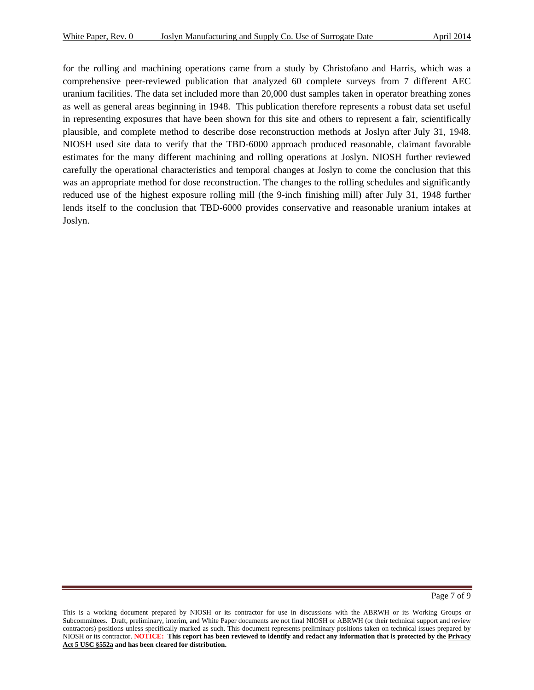for the rolling and machining operations came from a study by Christofano and Harris, which was a comprehensive peer-reviewed publication that analyzed 60 complete surveys from 7 different AEC uranium facilities. The data set included more than 20,000 dust samples taken in operator breathing zones as well as general areas beginning in 1948. This publication therefore represents a robust data set useful in representing exposures that have been shown for this site and others to represent a fair, scientifically plausible, and complete method to describe dose reconstruction methods at Joslyn after July 31, 1948. NIOSH used site data to verify that the TBD-6000 approach produced reasonable, claimant favorable estimates for the many different machining and rolling operations at Joslyn. NIOSH further reviewed carefully the operational characteristics and temporal changes at Joslyn to come the conclusion that this was an appropriate method for dose reconstruction. The changes to the rolling schedules and significantly reduced use of the highest exposure rolling mill (the 9-inch finishing mill) after July 31, 1948 further lends itself to the conclusion that TBD-6000 provides conservative and reasonable uranium intakes at Joslyn.

Page 7 of 9

 NIOSH or its contractor. **NOTICE: This report has been reviewed to identify and redact any information that is protected by the Privacy**  This is a working document prepared by NIOSH or its contractor for use in discussions with the ABRWH or its Working Groups or Subcommittees. Draft, preliminary, interim, and White Paper documents are not final NIOSH or ABRWH (or their technical support and review contractors) positions unless specifically marked as such. This document represents preliminary positions taken on technical issues prepared by **Act 5 USC §552a and has been cleared for distribution.**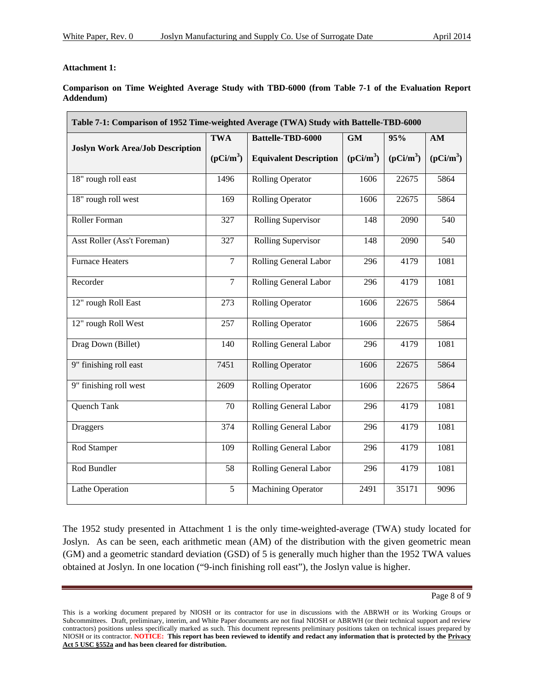#### **Attachment 1:**

 $\blacksquare$ 

Comparison on Time Weighted Average Study with TBD-6000 (from Table 7-1 of the Evaluation Report **Addendum)** 

| Table 7-1: Comparison of 1952 Time-weighted Average (TWA) Study with Battelle-TBD-6000 |                |                               |             |             |             |
|----------------------------------------------------------------------------------------|----------------|-------------------------------|-------------|-------------|-------------|
| <b>Joslyn Work Area/Job Description</b>                                                | <b>TWA</b>     | Battelle-TBD-6000             | <b>GM</b>   | 95%         | AM          |
|                                                                                        | $(pCi/m^3)$    | <b>Equivalent Description</b> | $(pCi/m^3)$ | $(pCi/m^3)$ | $(pCi/m^3)$ |
| 18" rough roll east                                                                    | 1496           | <b>Rolling Operator</b>       | 1606        | 22675       | 5864        |
| 18" rough roll west                                                                    | 169            | <b>Rolling Operator</b>       | 1606        | 22675       | 5864        |
| Roller Forman                                                                          | 327            | Rolling Supervisor            | 148         | 2090        | 540         |
| Asst Roller (Ass't Foreman)                                                            | 327            | Rolling Supervisor            | 148         | 2090        | 540         |
| <b>Furnace Heaters</b>                                                                 | $\overline{7}$ | Rolling General Labor         | 296         | 4179        | 1081        |
| Recorder                                                                               | $\overline{7}$ | Rolling General Labor         | 296         | 4179        | 1081        |
| 12" rough Roll East                                                                    | 273            | <b>Rolling Operator</b>       | 1606        | 22675       | 5864        |
| 12" rough Roll West                                                                    | 257            | <b>Rolling Operator</b>       | 1606        | 22675       | 5864        |
| Drag Down (Billet)                                                                     | 140            | Rolling General Labor         | 296         | 4179        | 1081        |
| 9" finishing roll east                                                                 | 7451           | <b>Rolling Operator</b>       | 1606        | 22675       | 5864        |
| 9" finishing roll west                                                                 | 2609           | <b>Rolling Operator</b>       | 1606        | 22675       | 5864        |
| Quench Tank                                                                            | 70             | Rolling General Labor         | 296         | 4179        | 1081        |
| <b>Draggers</b>                                                                        | 374            | Rolling General Labor         | 296         | 4179        | 1081        |
| Rod Stamper                                                                            | 109            | Rolling General Labor         | 296         | 4179        | 1081        |
| Rod Bundler                                                                            | 58             | Rolling General Labor         | 296         | 4179        | 1081        |
| Lathe Operation                                                                        | 5              | <b>Machining Operator</b>     | 2491        | 35171       | 9096        |

The 1952 study presented in Attachment 1 is the only time-weighted-average (TWA) study located for Joslyn. As can be seen, each arithmetic mean (AM) of the distribution with the given geometric mean (GM) and a geometric standard deviation (GSD) of 5 is generally much higher than the 1952 TWA values obtained at Joslyn. In one location ("9-inch finishing roll east"), the Joslyn value is higher.

Page 8 of 9

 NIOSH or its contractor. **NOTICE: This report has been reviewed to identify and redact any information that is protected by the Privacy**  This is a working document prepared by NIOSH or its contractor for use in discussions with the ABRWH or its Working Groups or Subcommittees. Draft, preliminary, interim, and White Paper documents are not final NIOSH or ABRWH (or their technical support and review contractors) positions unless specifically marked as such. This document represents preliminary positions taken on technical issues prepared by **Act 5 USC §552a and has been cleared for distribution.**